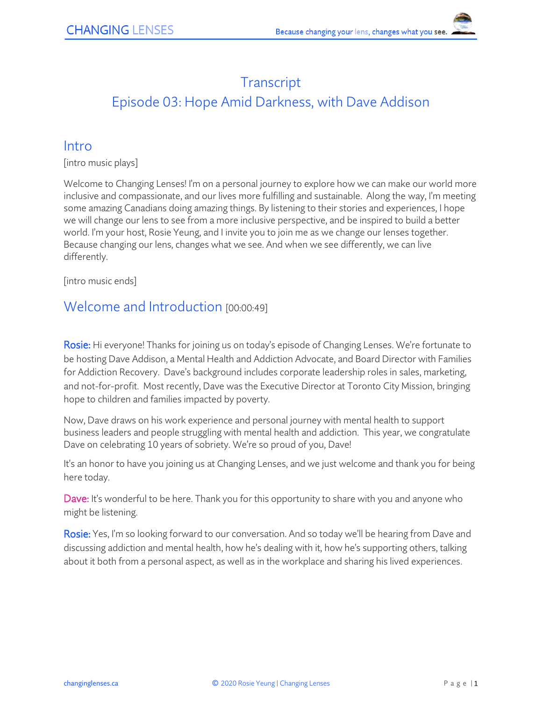# **Transcript** Episode 03: Hope Amid Darkness, with Dave Addison

### **Intro**

[intro music plays]

Welcome to Changing Lenses! I'm on a personal journey to explore how we can make our world more inclusive and compassionate, and our lives more fulfilling and sustainable. Along the way, I'm meeting some amazing Canadians doing amazing things. By listening to their stories and experiences, I hope we will change our lens to see from a more inclusive perspective, and be inspired to build a better world. I'm your host, Rosie Yeung, and I invite you to join me as we change our lenses together. Because changing our lens, changes what we see. And when we see differently, we can live differently.

[intro music ends]

## Welcome and Introduction [00:00:49]

Rosie: Hi everyone! Thanks for joining us on today's episode of Changing Lenses. We're fortunate to be hosting Dave Addison, a Mental Health and Addiction Advocate, and Board Director with Families for Addiction Recovery. Dave's background includes corporate leadership roles in sales, marketing, and not-for-profit. Most recently, Dave was the Executive Director at Toronto City Mission, bringing hope to children and families impacted by poverty.

Now, Dave draws on his work experience and personal journey with mental health to support business leaders and people struggling with mental health and addiction. This year, we congratulate Dave on celebrating 10 years of sobriety. We're so proud of you, Dave!

It's an honor to have you joining us at Changing Lenses, and we just welcome and thank you for being here today.

Dave: It's wonderful to be here. Thank you for this opportunity to share with you and anyone who might be listening.

Rosie: Yes, I'm so looking forward to our conversation. And so today we'll be hearing from Dave and discussing addiction and mental health, how he's dealing with it, how he's supporting others, talking about it both from a personal aspect, as well as in the workplace and sharing his lived experiences.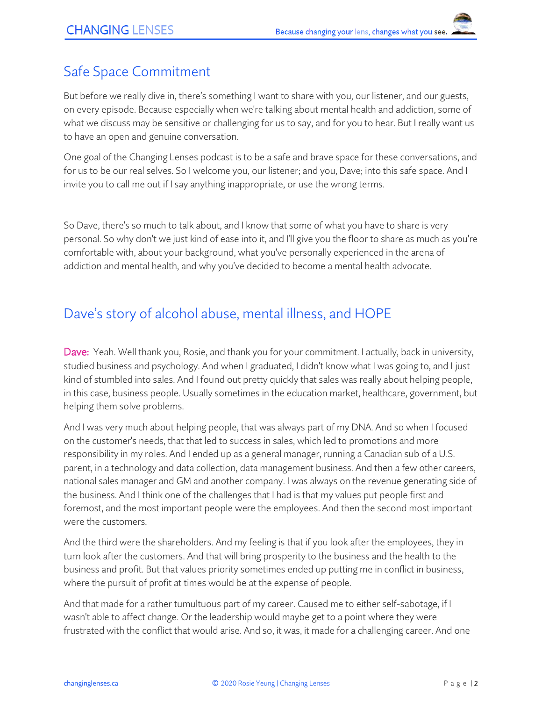# Safe Space Commitment

But before we really dive in, there's something I want to share with you, our listener, and our guests, on every episode. Because especially when we're talking about mental health and addiction, some of what we discuss may be sensitive or challenging for us to say, and for you to hear. But I really want us to have an open and genuine conversation.

One goal of the Changing Lenses podcast is to be a safe and brave space for these conversations, and for us to be our real selves. So I welcome you, our listener; and you, Dave; into this safe space. And I invite you to call me out if I say anything inappropriate, or use the wrong terms.

So Dave, there's so much to talk about, and I know that some of what you have to share is very personal. So why don't we just kind of ease into it, and I'll give you the floor to share as much as you're comfortable with, about your background, what you've personally experienced in the arena of addiction and mental health, and why you've decided to become a mental health advocate.

# Dave's story of alcohol abuse, mental illness, and HOPE

Dave: Yeah. Well thank you, Rosie, and thank you for your commitment. I actually, back in university, studied business and psychology. And when I graduated, I didn't know what I was going to, and I just kind of stumbled into sales. And I found out pretty quickly that sales was really about helping people, in this case, business people. Usually sometimes in the education market, healthcare, government, but helping them solve problems.

And I was very much about helping people, that was always part of my DNA. And so when I focused on the customer's needs, that that led to success in sales, which led to promotions and more responsibility in my roles. And I ended up as a general manager, running a Canadian sub of a U.S. parent, in a technology and data collection, data management business. And then a few other careers, national sales manager and GM and another company. I was always on the revenue generating side of the business. And I think one of the challenges that I had is that my values put people first and foremost, and the most important people were the employees. And then the second most important were the customers.

And the third were the shareholders. And my feeling is that if you look after the employees, they in turn look after the customers. And that will bring prosperity to the business and the health to the business and profit. But that values priority sometimes ended up putting me in conflict in business, where the pursuit of profit at times would be at the expense of people.

And that made for a rather tumultuous part of my career. Caused me to either self-sabotage, if I wasn't able to affect change. Or the leadership would maybe get to a point where they were frustrated with the conflict that would arise. And so, it was, it made for a challenging career. And one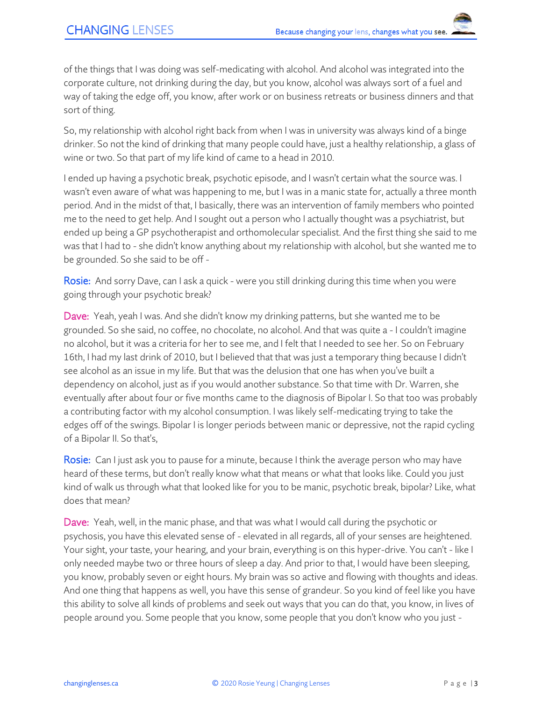of the things that I was doing was self-medicating with alcohol. And alcohol was integrated into the corporate culture, not drinking during the day, but you know, alcohol was always sort of a fuel and way of taking the edge off, you know, after work or on business retreats or business dinners and that sort of thing.

So, my relationship with alcohol right back from when I was in university was always kind of a binge drinker. So not the kind of drinking that many people could have, just a healthy relationship, a glass of wine or two. So that part of my life kind of came to a head in 2010.

I ended up having a psychotic break, psychotic episode, and I wasn't certain what the source was. I wasn't even aware of what was happening to me, but I was in a manic state for, actually a three month period. And in the midst of that, I basically, there was an intervention of family members who pointed me to the need to get help. And I sought out a person who I actually thought was a psychiatrist, but ended up being a GP psychotherapist and orthomolecular specialist. And the first thing she said to me was that I had to - she didn't know anything about my relationship with alcohol, but she wanted me to be grounded. So she said to be off -

Rosie: And sorry Dave, can I ask a quick - were you still drinking during this time when you were going through your psychotic break?

Dave: Yeah, yeah I was. And she didn't know my drinking patterns, but she wanted me to be grounded. So she said, no coffee, no chocolate, no alcohol. And that was quite a - I couldn't imagine no alcohol, but it was a criteria for her to see me, and I felt that I needed to see her. So on February 16th, I had my last drink of 2010, but I believed that that was just a temporary thing because I didn't see alcohol as an issue in my life. But that was the delusion that one has when you've built a dependency on alcohol, just as if you would another substance. So that time with Dr. Warren, she eventually after about four or five months came to the diagnosis of Bipolar I. So that too was probably a contributing factor with my alcohol consumption. I was likely self-medicating trying to take the edges off of the swings. Bipolar I is longer periods between manic or depressive, not the rapid cycling of a Bipolar II. So that's,

**Rosie:** Can I just ask you to pause for a minute, because I think the average person who may have heard of these terms, but don't really know what that means or what that looks like. Could you just kind of walk us through what that looked like for you to be manic, psychotic break, bipolar? Like, what does that mean?

Dave: Yeah, well, in the manic phase, and that was what I would call during the psychotic or psychosis, you have this elevated sense of - elevated in all regards, all of your senses are heightened. Your sight, your taste, your hearing, and your brain, everything is on this hyper-drive. You can't - like I only needed maybe two or three hours of sleep a day. And prior to that, I would have been sleeping, you know, probably seven or eight hours. My brain was so active and flowing with thoughts and ideas. And one thing that happens as well, you have this sense of grandeur. So you kind of feel like you have this ability to solve all kinds of problems and seek out ways that you can do that, you know, in lives of people around you. Some people that you know, some people that you don't know who you just -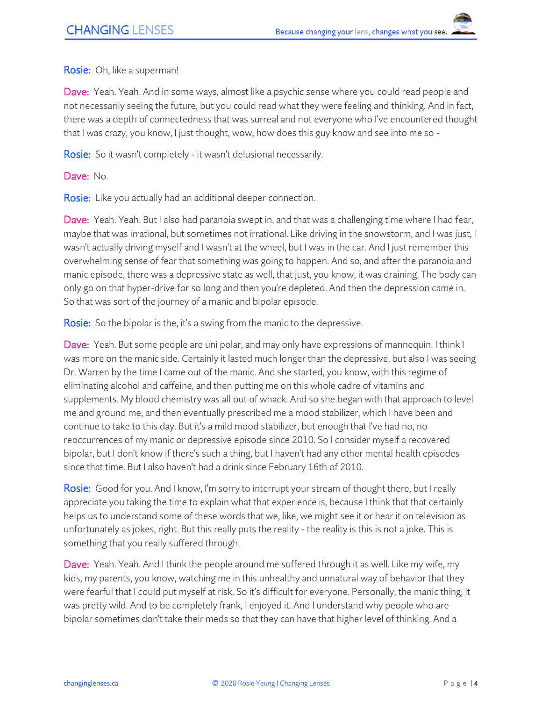Rosie: Oh, like a superman!

Dave: Yeah. Yeah. And in some ways, almost like a psychic sense where you could read people and not necessarily seeing the future, but you could read what they were feeling and thinking. And in fact, there was a depth of connectedness that was surreal and not everyone who I've encountered thought that I was crazy, you know, I just thought, wow, how does this guy know and see into me so -

**Rosie:** So it wasn't completely - it wasn't delusional necessarily.

Dave: No.

Rosie: Like you actually had an additional deeper connection.

Dave: Yeah. Yeah. But I also had paranoia swept in, and that was a challenging time where I had fear, maybe that was irrational, but sometimes not irrational. Like driving in the snowstorm, and I was just, I wasn't actually driving myself and I wasn't at the wheel, but I was in the car. And I just remember this overwhelming sense of fear that something was going to happen. And so, and after the paranoia and manic episode, there was a depressive state as well, that just, you know, it was draining. The body can only go on that hyper-drive for so long and then you're depleted. And then the depression came in. So that was sort of the journey of a manic and bipolar episode.

Rosie: So the bipolar is the, it's a swing from the manic to the depressive.

Dave: Yeah. But some people are uni polar, and may only have expressions of mannequin. I think I was more on the manic side. Certainly it lasted much longer than the depressive, but also I was seeing Dr. Warren by the time I came out of the manic. And she started, you know, with this regime of eliminating alcohol and caffeine, and then putting me on this whole cadre of vitamins and supplements. My blood chemistry was all out of whack. And so she began with that approach to level me and ground me, and then eventually prescribed me a mood stabilizer, which I have been and continue to take to this day. But it's a mild mood stabilizer, but enough that I've had no, no reoccurrences of my manic or depressive episode since 2010. So I consider myself a recovered bipolar, but I don't know if there's such a thing, but I haven't had any other mental health episodes since that time. But I also haven't had a drink since February 16th of 2010.

Rosie: Good for you. And I know, I'm sorry to interrupt your stream of thought there, but I really appreciate you taking the time to explain what that experience is, because I think that that certainly helps us to understand some of these words that we, like, we might see it or hear it on television as unfortunately as jokes, right. But this really puts the reality - the reality is this is not a joke. This is something that you really suffered through.

Dave: Yeah. Yeah. And I think the people around me suffered through it as well. Like my wife, my kids, my parents, you know, watching me in this unhealthy and unnatural way of behavior that they were fearful that I could put myself at risk. So it's difficult for everyone. Personally, the manic thing, it was pretty wild. And to be completely frank, I enjoyed it. And I understand why people who are bipolar sometimes don't take their meds so that they can have that higher level of thinking. And a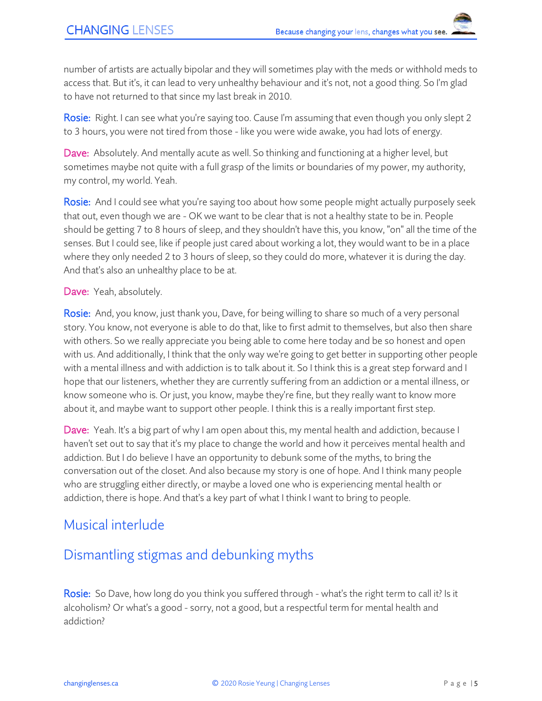number of artists are actually bipolar and they will sometimes play with the meds or withhold meds to access that. But it's, it can lead to very unhealthy behaviour and it's not, not a good thing. So I'm glad to have not returned to that since my last break in 2010.

Rosie: Right. I can see what you're saying too. Cause I'm assuming that even though you only slept 2 to 3 hours, you were not tired from those - like you were wide awake, you had lots of energy.

Dave: Absolutely. And mentally acute as well. So thinking and functioning at a higher level, but sometimes maybe not quite with a full grasp of the limits or boundaries of my power, my authority, my control, my world. Yeah.

Rosie: And I could see what you're saying too about how some people might actually purposely seek that out, even though we are - OK we want to be clear that is not a healthy state to be in. People should be getting 7 to 8 hours of sleep, and they shouldn't have this, you know, "on" all the time of the senses. But I could see, like if people just cared about working a lot, they would want to be in a place where they only needed 2 to 3 hours of sleep, so they could do more, whatever it is during the day. And that's also an unhealthy place to be at.

Dave: Yeah, absolutely.

Rosie: And, you know, just thank you, Dave, for being willing to share so much of a very personal story. You know, not everyone is able to do that, like to first admit to themselves, but also then share with others. So we really appreciate you being able to come here today and be so honest and open with us. And additionally, I think that the only way we're going to get better in supporting other people with a mental illness and with addiction is to talk about it. So I think this is a great step forward and I hope that our listeners, whether they are currently suffering from an addiction or a mental illness, or know someone who is. Or just, you know, maybe they're fine, but they really want to know more about it, and maybe want to support other people. I think this is a really important first step.

Dave: Yeah. It's a big part of why I am open about this, my mental health and addiction, because I haven't set out to say that it's my place to change the world and how it perceives mental health and addiction. But I do believe I have an opportunity to debunk some of the myths, to bring the conversation out of the closet. And also because my story is one of hope. And I think many people who are struggling either directly, or maybe a loved one who is experiencing mental health or addiction, there is hope. And that's a key part of what I think I want to bring to people.

## Musical interlude

# Dismantling stigmas and debunking myths

Rosie: So Dave, how long do you think you suffered through - what's the right term to call it? Is it alcoholism? Or what's a good - sorry, not a good, but a respectful term for mental health and addiction?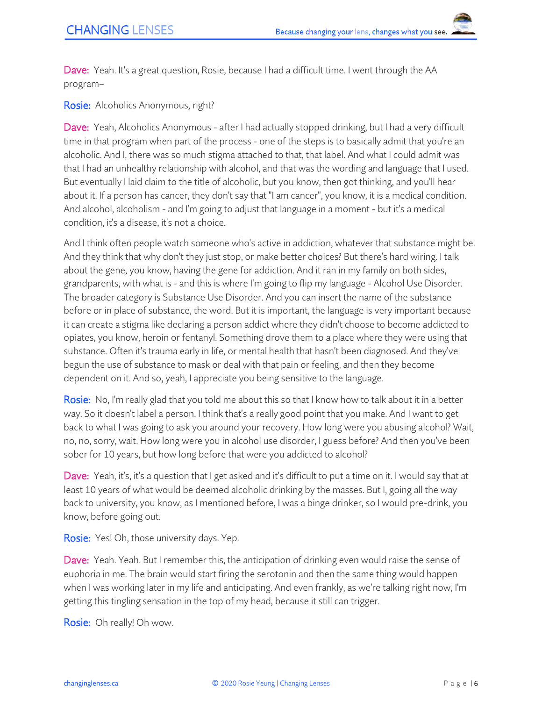Dave: Yeah. It's a great question, Rosie, because I had a difficult time. I went through the AA program–

Rosie: Alcoholics Anonymous, right?

Dave: Yeah, Alcoholics Anonymous - after I had actually stopped drinking, but I had a very difficult time in that program when part of the process - one of the steps is to basically admit that you're an alcoholic. And I, there was so much stigma attached to that, that label. And what I could admit was that I had an unhealthy relationship with alcohol, and that was the wording and language that I used. But eventually I laid claim to the title of alcoholic, but you know, then got thinking, and you'll hear about it. If a person has cancer, they don't say that "I am cancer", you know, it is a medical condition. And alcohol, alcoholism - and I'm going to adjust that language in a moment - but it's a medical condition, it's a disease, it's not a choice.

And I think often people watch someone who's active in addiction, whatever that substance might be. And they think that why don't they just stop, or make better choices? But there's hard wiring. I talk about the gene, you know, having the gene for addiction. And it ran in my family on both sides, grandparents, with what is - and this is where I'm going to flip my language - Alcohol Use Disorder. The broader category is Substance Use Disorder. And you can insert the name of the substance before or in place of substance, the word. But it is important, the language is very important because it can create a stigma like declaring a person addict where they didn't choose to become addicted to opiates, you know, heroin or fentanyl. Something drove them to a place where they were using that substance. Often it's trauma early in life, or mental health that hasn't been diagnosed. And they've begun the use of substance to mask or deal with that pain or feeling, and then they become dependent on it. And so, yeah, I appreciate you being sensitive to the language.

Rosie: No, I'm really glad that you told me about this so that I know how to talk about it in a better way. So it doesn't label a person. I think that's a really good point that you make. And I want to get back to what I was going to ask you around your recovery. How long were you abusing alcohol? Wait, no, no, sorry, wait. How long were you in alcohol use disorder, I guess before? And then you've been sober for 10 years, but how long before that were you addicted to alcohol?

Dave: Yeah, it's, it's a question that I get asked and it's difficult to put a time on it. I would say that at least 10 years of what would be deemed alcoholic drinking by the masses. But I, going all the way back to university, you know, as I mentioned before, I was a binge drinker, so I would pre-drink, you know, before going out.

Rosie: Yes! Oh, those university days. Yep.

Dave: Yeah. Yeah. But I remember this, the anticipation of drinking even would raise the sense of euphoria in me. The brain would start firing the serotonin and then the same thing would happen when I was working later in my life and anticipating. And even frankly, as we're talking right now, I'm getting this tingling sensation in the top of my head, because it still can trigger.

Rosie: Oh really! Oh wow.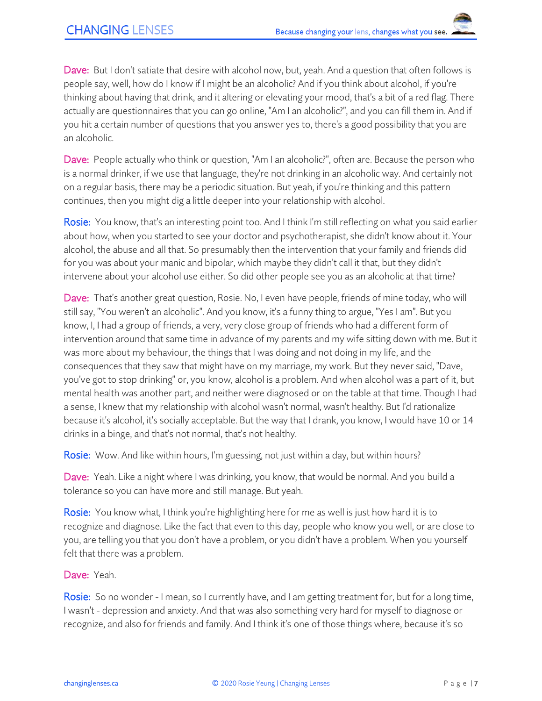Dave: But I don't satiate that desire with alcohol now, but, yeah. And a question that often follows is people say, well, how do I know if I might be an alcoholic? And if you think about alcohol, if you're thinking about having that drink, and it altering or elevating your mood, that's a bit of a red flag. There actually are questionnaires that you can go online, "Am I an alcoholic?", and you can fill them in. And if you hit a certain number of questions that you answer yes to, there's a good possibility that you are an alcoholic.

Dave: People actually who think or question, "Am I an alcoholic?", often are. Because the person who is a normal drinker, if we use that language, they're not drinking in an alcoholic way. And certainly not on a regular basis, there may be a periodic situation. But yeah, if you're thinking and this pattern continues, then you might dig a little deeper into your relationship with alcohol.

Rosie: You know, that's an interesting point too. And I think I'm still reflecting on what you said earlier about how, when you started to see your doctor and psychotherapist, she didn't know about it. Your alcohol, the abuse and all that. So presumably then the intervention that your family and friends did for you was about your manic and bipolar, which maybe they didn't call it that, but they didn't intervene about your alcohol use either. So did other people see you as an alcoholic at that time?

Dave: That's another great question, Rosie. No, I even have people, friends of mine today, who will still say, "You weren't an alcoholic". And you know, it's a funny thing to argue, "Yes I am". But you know, I, I had a group of friends, a very, very close group of friends who had a different form of intervention around that same time in advance of my parents and my wife sitting down with me. But it was more about my behaviour, the things that I was doing and not doing in my life, and the consequences that they saw that might have on my marriage, my work. But they never said, "Dave, you've got to stop drinking" or, you know, alcohol is a problem. And when alcohol was a part of it, but mental health was another part, and neither were diagnosed or on the table at that time. Though I had a sense, I knew that my relationship with alcohol wasn't normal, wasn't healthy. But I'd rationalize because it's alcohol, it's socially acceptable. But the way that I drank, you know, I would have 10 or 14 drinks in a binge, and that's not normal, that's not healthy.

Rosie: Wow. And like within hours, I'm guessing, not just within a day, but within hours?

Dave: Yeah. Like a night where I was drinking, you know, that would be normal. And you build a tolerance so you can have more and still manage. But yeah.

Rosie: You know what, I think you're highlighting here for me as well is just how hard it is to recognize and diagnose. Like the fact that even to this day, people who know you well, or are close to you, are telling you that you don't have a problem, or you didn't have a problem. When you yourself felt that there was a problem.

Dave: Yeah.

Rosie: So no wonder - I mean, so I currently have, and I am getting treatment for, but for a long time, I wasn't - depression and anxiety. And that was also something very hard for myself to diagnose or recognize, and also for friends and family. And I think it's one of those things where, because it's so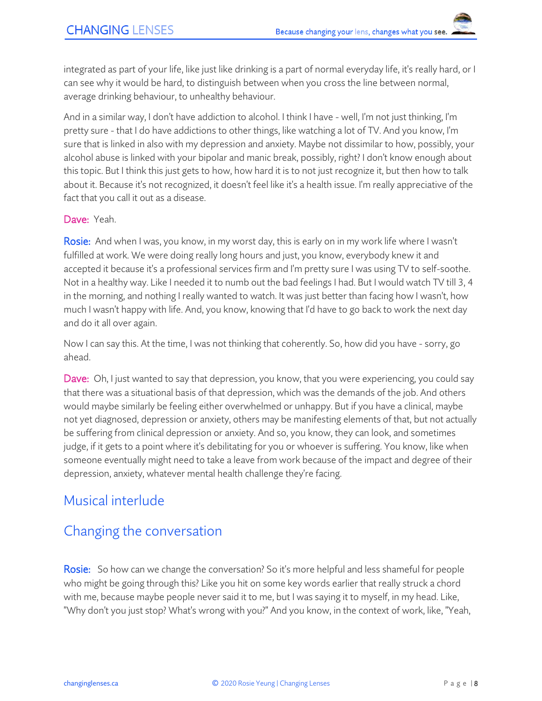integrated as part of your life, like just like drinking is a part of normal everyday life, it's really hard, or I can see why it would be hard, to distinguish between when you cross the line between normal, average drinking behaviour, to unhealthy behaviour.

And in a similar way, I don't have addiction to alcohol. I think I have - well, I'm not just thinking, I'm pretty sure - that I do have addictions to other things, like watching a lot of TV. And you know, I'm sure that is linked in also with my depression and anxiety. Maybe not dissimilar to how, possibly, your alcohol abuse is linked with your bipolar and manic break, possibly, right? I don't know enough about this topic. But I think this just gets to how, how hard it is to not just recognize it, but then how to talk about it. Because it's not recognized, it doesn't feel like it's a health issue. I'm really appreciative of the fact that you call it out as a disease.

#### Dave: Yeah.

Rosie: And when I was, you know, in my worst day, this is early on in my work life where I wasn't fulfilled at work. We were doing really long hours and just, you know, everybody knew it and accepted it because it's a professional services firm and I'm pretty sure I was using TV to self-soothe. Not in a healthy way. Like I needed it to numb out the bad feelings I had. But I would watch TV till 3, 4 in the morning, and nothing I really wanted to watch. It was just better than facing how I wasn't, how much I wasn't happy with life. And, you know, knowing that I'd have to go back to work the next day and do it all over again.

Now I can say this. At the time, I was not thinking that coherently. So, how did you have - sorry, go ahead.

Dave: Oh, I just wanted to say that depression, you know, that you were experiencing, you could say that there was a situational basis of that depression, which was the demands of the job. And others would maybe similarly be feeling either overwhelmed or unhappy. But if you have a clinical, maybe not yet diagnosed, depression or anxiety, others may be manifesting elements of that, but not actually be suffering from clinical depression or anxiety. And so, you know, they can look, and sometimes judge, if it gets to a point where it's debilitating for you or whoever is suffering. You know, like when someone eventually might need to take a leave from work because of the impact and degree of their depression, anxiety, whatever mental health challenge they're facing.

## Musical interlude

## Changing the conversation

Rosie: So how can we change the conversation? So it's more helpful and less shameful for people who might be going through this? Like you hit on some key words earlier that really struck a chord with me, because maybe people never said it to me, but I was saying it to myself, in my head. Like, "Why don't you just stop? What's wrong with you?" And you know, in the context of work, like, "Yeah,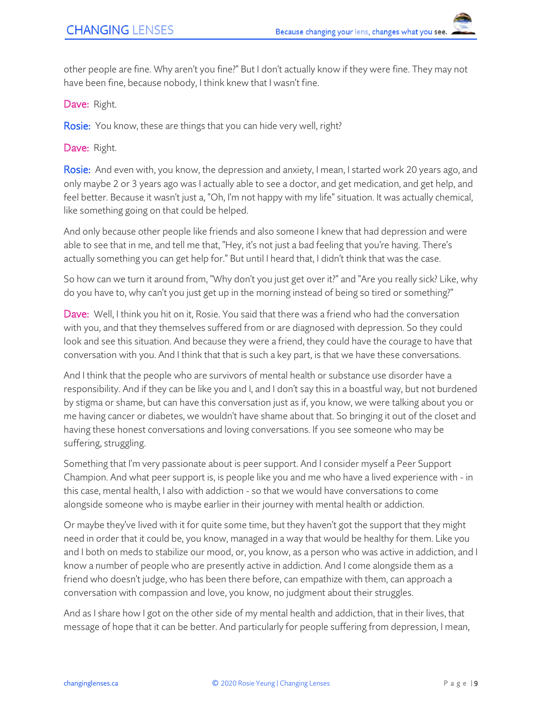other people are fine. Why aren't you fine?" But I don't actually know if they were fine. They may not have been fine, because nobody, I think knew that I wasn't fine.

Dave: Right.

Rosie: You know, these are things that you can hide very well, right?

Dave: Right.

Rosie: And even with, you know, the depression and anxiety, I mean, I started work 20 years ago, and only maybe 2 or 3 years ago was I actually able to see a doctor, and get medication, and get help, and feel better. Because it wasn't just a, "Oh, I'm not happy with my life" situation. It was actually chemical, like something going on that could be helped.

And only because other people like friends and also someone I knew that had depression and were able to see that in me, and tell me that, "Hey, it's not just a bad feeling that you're having. There's actually something you can get help for." But until I heard that, I didn't think that was the case.

So how can we turn it around from, "Why don't you just get over it?" and "Are you really sick? Like, why do you have to, why can't you just get up in the morning instead of being so tired or something?"

Dave: Well, I think you hit on it, Rosie. You said that there was a friend who had the conversation with you, and that they themselves suffered from or are diagnosed with depression. So they could look and see this situation. And because they were a friend, they could have the courage to have that conversation with you. And I think that that is such a key part, is that we have these conversations.

And I think that the people who are survivors of mental health or substance use disorder have a responsibility. And if they can be like you and I, and I don't say this in a boastful way, but not burdened by stigma or shame, but can have this conversation just as if, you know, we were talking about you or me having cancer or diabetes, we wouldn't have shame about that. So bringing it out of the closet and having these honest conversations and loving conversations. If you see someone who may be suffering, struggling.

Something that I'm very passionate about is peer support. And I consider myself a Peer Support Champion. And what peer support is, is people like you and me who have a lived experience with - in this case, mental health, I also with addiction - so that we would have conversations to come alongside someone who is maybe earlier in their journey with mental health or addiction.

Or maybe they've lived with it for quite some time, but they haven't got the support that they might need in order that it could be, you know, managed in a way that would be healthy for them. Like you and I both on meds to stabilize our mood, or, you know, as a person who was active in addiction, and I know a number of people who are presently active in addiction. And I come alongside them as a friend who doesn't judge, who has been there before, can empathize with them, can approach a conversation with compassion and love, you know, no judgment about their struggles.

And as I share how I got on the other side of my mental health and addiction, that in their lives, that message of hope that it can be better. And particularly for people suffering from depression, I mean,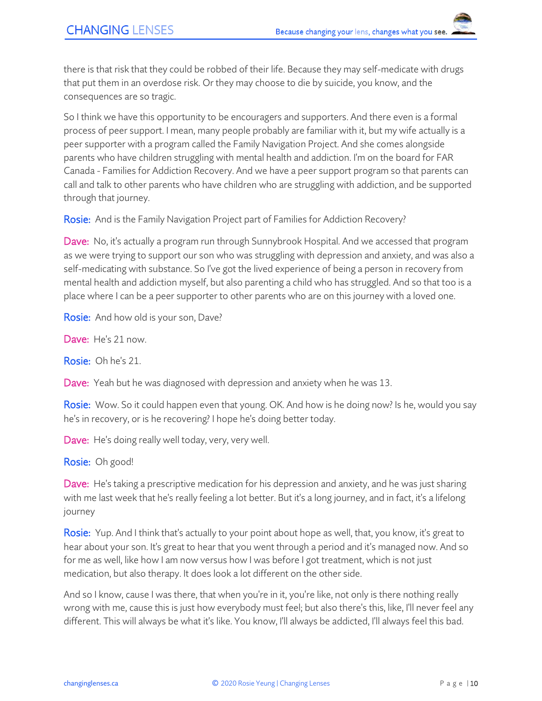there is that risk that they could be robbed of their life. Because they may self-medicate with drugs that put them in an overdose risk. Or they may choose to die by suicide, you know, and the consequences are so tragic.

So I think we have this opportunity to be encouragers and supporters. And there even is a formal process of peer support. I mean, many people probably are familiar with it, but my wife actually is a peer supporter with a program called the Family Navigation Project. And she comes alongside parents who have children struggling with mental health and addiction. I'm on the board for FAR Canada - Families for Addiction Recovery. And we have a peer support program so that parents can call and talk to other parents who have children who are struggling with addiction, and be supported through that journey.

Rosie: And is the Family Navigation Project part of Families for Addiction Recovery?

**Dave:** No, it's actually a program run through Sunnybrook Hospital. And we accessed that program as we were trying to support our son who was struggling with depression and anxiety, and was also a self-medicating with substance. So I've got the lived experience of being a person in recovery from mental health and addiction myself, but also parenting a child who has struggled. And so that too is a place where I can be a peer supporter to other parents who are on this journey with a loved one.

Rosie: And how old is your son, Dave?

Dave: He's 21 now.

Rosie: Oh he's 21.

**Dave:** Yeah but he was diagnosed with depression and anxiety when he was 13.

Rosie: Wow. So it could happen even that young. OK. And how is he doing now? Is he, would you say he's in recovery, or is he recovering? I hope he's doing better today.

Dave: He's doing really well today, very, very well.

Rosie: Oh good!

Dave: He's taking a prescriptive medication for his depression and anxiety, and he was just sharing with me last week that he's really feeling a lot better. But it's a long journey, and in fact, it's a lifelong journey

Rosie: Yup. And I think that's actually to your point about hope as well, that, you know, it's great to hear about your son. It's great to hear that you went through a period and it's managed now. And so for me as well, like how I am now versus how I was before I got treatment, which is not just medication, but also therapy. It does look a lot different on the other side.

And so I know, cause I was there, that when you're in it, you're like, not only is there nothing really wrong with me, cause this is just how everybody must feel; but also there's this, like, I'll never feel any different. This will always be what it's like. You know, I'll always be addicted, I'll always feel this bad.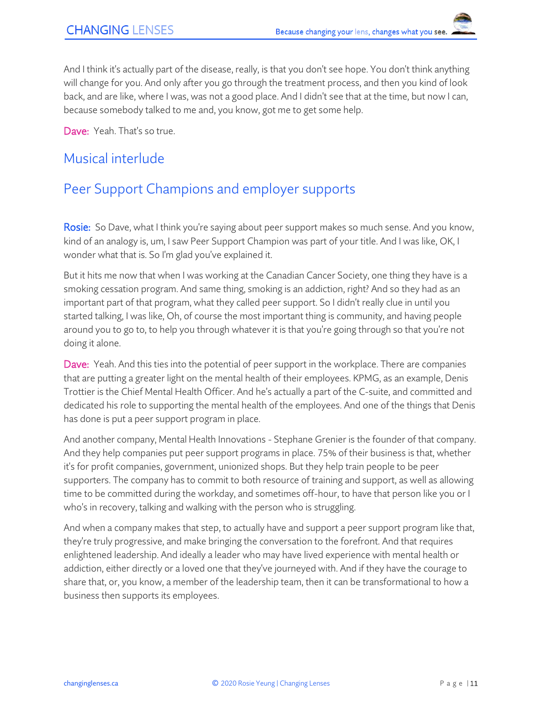And I think it's actually part of the disease, really, is that you don't see hope. You don't think anything will change for you. And only after you go through the treatment process, and then you kind of look back, and are like, where I was, was not a good place. And I didn't see that at the time, but now I can, because somebody talked to me and, you know, got me to get some help.

Dave: Yeah. That's so true.

## Musical interlude

# Peer Support Champions and employer supports

Rosie: So Dave, what I think you're saying about peer support makes so much sense. And you know, kind of an analogy is, um, I saw Peer Support Champion was part of your title. And I was like, OK, I wonder what that is. So I'm glad you've explained it.

But it hits me now that when I was working at the Canadian Cancer Society, one thing they have is a smoking cessation program. And same thing, smoking is an addiction, right? And so they had as an important part of that program, what they called peer support. So I didn't really clue in until you started talking, I was like, Oh, of course the most important thing is community, and having people around you to go to, to help you through whatever it is that you're going through so that you're not doing it alone.

Dave: Yeah. And this ties into the potential of peer support in the workplace. There are companies that are putting a greater light on the mental health of their employees. KPMG, as an example, Denis Trottier is the Chief Mental Health Officer. And he's actually a part of the C-suite, and committed and dedicated his role to supporting the mental health of the employees. And one of the things that Denis has done is put a peer support program in place.

And another company, Mental Health Innovations - Stephane Grenier is the founder of that company. And they help companies put peer support programs in place. 75% of their business is that, whether it's for profit companies, government, unionized shops. But they help train people to be peer supporters. The company has to commit to both resource of training and support, as well as allowing time to be committed during the workday, and sometimes off-hour, to have that person like you or I who's in recovery, talking and walking with the person who is struggling.

And when a company makes that step, to actually have and support a peer support program like that, they're truly progressive, and make bringing the conversation to the forefront. And that requires enlightened leadership. And ideally a leader who may have lived experience with mental health or addiction, either directly or a loved one that they've journeyed with. And if they have the courage to share that, or, you know, a member of the leadership team, then it can be transformational to how a business then supports its employees.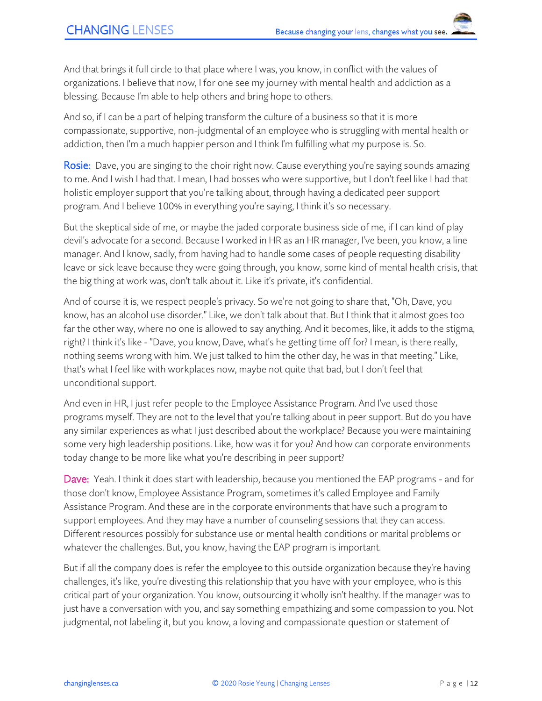And that brings it full circle to that place where I was, you know, in conflict with the values of organizations. I believe that now, I for one see my journey with mental health and addiction as a blessing. Because I'm able to help others and bring hope to others.

And so, if I can be a part of helping transform the culture of a business so that it is more compassionate, supportive, non-judgmental of an employee who is struggling with mental health or addiction, then I'm a much happier person and I think I'm fulfilling what my purpose is. So.

Rosie: Dave, you are singing to the choir right now. Cause everything you're saying sounds amazing to me. And I wish I had that. I mean, I had bosses who were supportive, but I don't feel like I had that holistic employer support that you're talking about, through having a dedicated peer support program. And I believe 100% in everything you're saying, I think it's so necessary.

But the skeptical side of me, or maybe the jaded corporate business side of me, if I can kind of play devil's advocate for a second. Because I worked in HR as an HR manager, I've been, you know, a line manager. And I know, sadly, from having had to handle some cases of people requesting disability leave or sick leave because they were going through, you know, some kind of mental health crisis, that the big thing at work was, don't talk about it. Like it's private, it's confidential.

And of course it is, we respect people's privacy. So we're not going to share that, "Oh, Dave, you know, has an alcohol use disorder." Like, we don't talk about that. But I think that it almost goes too far the other way, where no one is allowed to say anything. And it becomes, like, it adds to the stigma, right? I think it's like - "Dave, you know, Dave, what's he getting time off for? I mean, is there really, nothing seems wrong with him. We just talked to him the other day, he was in that meeting." Like, that's what I feel like with workplaces now, maybe not quite that bad, but I don't feel that unconditional support.

And even in HR, I just refer people to the Employee Assistance Program. And I've used those programs myself. They are not to the level that you're talking about in peer support. But do you have any similar experiences as what I just described about the workplace? Because you were maintaining some very high leadership positions. Like, how was it for you? And how can corporate environments today change to be more like what you're describing in peer support?

Dave: Yeah. I think it does start with leadership, because you mentioned the EAP programs - and for those don't know, Employee Assistance Program, sometimes it's called Employee and Family Assistance Program. And these are in the corporate environments that have such a program to support employees. And they may have a number of counseling sessions that they can access. Different resources possibly for substance use or mental health conditions or marital problems or whatever the challenges. But, you know, having the EAP program is important.

But if all the company does is refer the employee to this outside organization because they're having challenges, it's like, you're divesting this relationship that you have with your employee, who is this critical part of your organization. You know, outsourcing it wholly isn't healthy. If the manager was to just have a conversation with you, and say something empathizing and some compassion to you. Not judgmental, not labeling it, but you know, a loving and compassionate question or statement of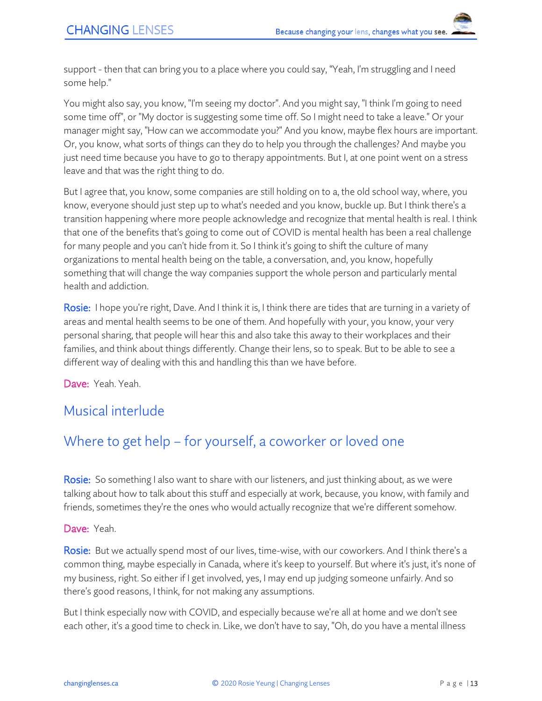support - then that can bring you to a place where you could say, "Yeah, I'm struggling and I need some help."

You might also say, you know, "I'm seeing my doctor". And you might say, "I think I'm going to need some time off", or "My doctor is suggesting some time off. So I might need to take a leave." Or your manager might say, "How can we accommodate you?" And you know, maybe flex hours are important. Or, you know, what sorts of things can they do to help you through the challenges? And maybe you just need time because you have to go to therapy appointments. But I, at one point went on a stress leave and that was the right thing to do.

But I agree that, you know, some companies are still holding on to a, the old school way, where, you know, everyone should just step up to what's needed and you know, buckle up. But I think there's a transition happening where more people acknowledge and recognize that mental health is real. I think that one of the benefits that's going to come out of COVID is mental health has been a real challenge for many people and you can't hide from it. So I think it's going to shift the culture of many organizations to mental health being on the table, a conversation, and, you know, hopefully something that will change the way companies support the whole person and particularly mental health and addiction.

Rosie: I hope you're right, Dave. And I think it is, I think there are tides that are turning in a variety of areas and mental health seems to be one of them. And hopefully with your, you know, your very personal sharing, that people will hear this and also take this away to their workplaces and their families, and think about things differently. Change their lens, so to speak. But to be able to see a different way of dealing with this and handling this than we have before.

Dave: Yeah. Yeah.

## Musical interlude

# Where to get help – for yourself, a coworker or loved one

Rosie: So something I also want to share with our listeners, and just thinking about, as we were talking about how to talk about this stuff and especially at work, because, you know, with family and friends, sometimes they're the ones who would actually recognize that we're different somehow.

#### Dave: Yeah.

Rosie: But we actually spend most of our lives, time-wise, with our coworkers. And I think there's a common thing, maybe especially in Canada, where it's keep to yourself. But where it's just, it's none of my business, right. So either if I get involved, yes, I may end up judging someone unfairly. And so there's good reasons, I think, for not making any assumptions.

But I think especially now with COVID, and especially because we're all at home and we don't see each other, it's a good time to check in. Like, we don't have to say, "Oh, do you have a mental illness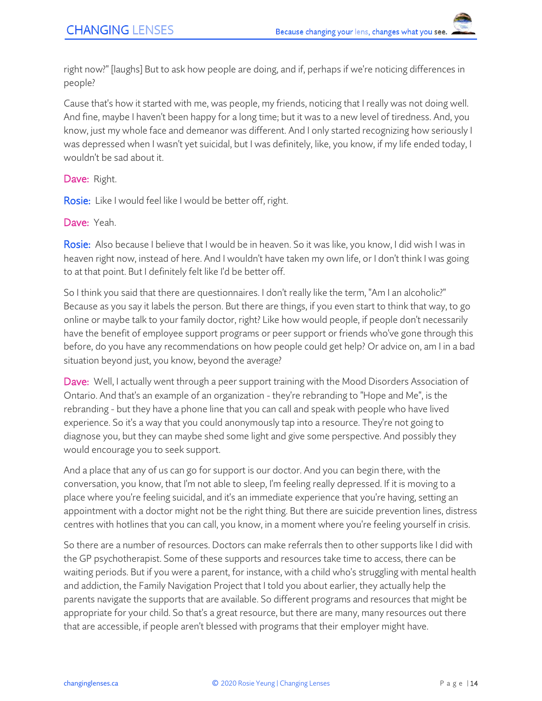right now?" [laughs] But to ask how people are doing, and if, perhaps if we're noticing differences in people?

Cause that's how it started with me, was people, my friends, noticing that I really was not doing well. And fine, maybe I haven't been happy for a long time; but it was to a new level of tiredness. And, you know, just my whole face and demeanor was different. And I only started recognizing how seriously I was depressed when I wasn't yet suicidal, but I was definitely, like, you know, if my life ended today, I wouldn't be sad about it.

Dave: Right.

**Rosie:** Like I would feel like I would be better off, right.

Dave: Yeah.

Rosie: Also because I believe that I would be in heaven. So it was like, you know, I did wish I was in heaven right now, instead of here. And I wouldn't have taken my own life, or I don't think I was going to at that point. But I definitely felt like I'd be better off.

So I think you said that there are questionnaires. I don't really like the term, "Am I an alcoholic?" Because as you say it labels the person. But there are things, if you even start to think that way, to go online or maybe talk to your family doctor, right? Like how would people, if people don't necessarily have the benefit of employee support programs or peer support or friends who've gone through this before, do you have any recommendations on how people could get help? Or advice on, am I in a bad situation beyond just, you know, beyond the average?

Dave: Well, I actually went through a peer support training with the Mood Disorders Association of Ontario. And that's an example of an organization - they're rebranding to "Hope and Me", is the rebranding - but they have a phone line that you can call and speak with people who have lived experience. So it's a way that you could anonymously tap into a resource. They're not going to diagnose you, but they can maybe shed some light and give some perspective. And possibly they would encourage you to seek support.

And a place that any of us can go for support is our doctor. And you can begin there, with the conversation, you know, that I'm not able to sleep, I'm feeling really depressed. If it is moving to a place where you're feeling suicidal, and it's an immediate experience that you're having, setting an appointment with a doctor might not be the right thing. But there are suicide prevention lines, distress centres with hotlines that you can call, you know, in a moment where you're feeling yourself in crisis.

So there are a number of resources. Doctors can make referrals then to other supports like I did with the GP psychotherapist. Some of these supports and resources take time to access, there can be waiting periods. But if you were a parent, for instance, with a child who's struggling with mental health and addiction, the Family Navigation Project that I told you about earlier, they actually help the parents navigate the supports that are available. So different programs and resources that might be appropriate for your child. So that's a great resource, but there are many, many resources out there that are accessible, if people aren't blessed with programs that their employer might have.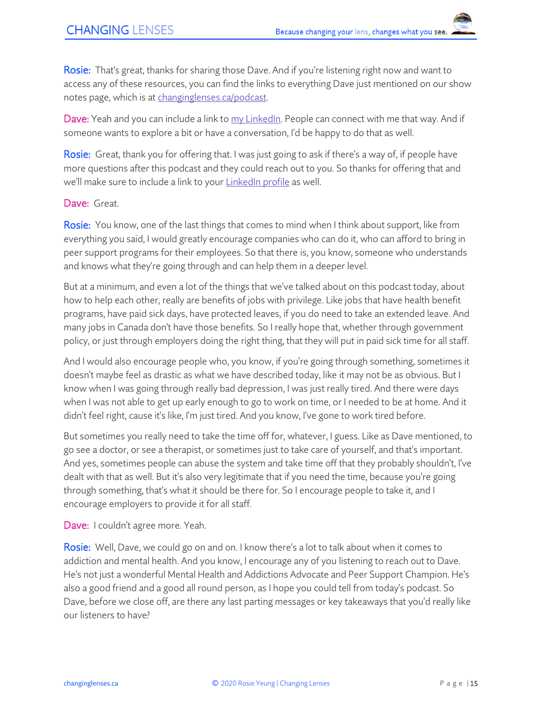Rosie: That's great, thanks for sharing those Dave. And if you're listening right now and want to access any of these resources, you can find the links to everything Dave just mentioned on our show notes page, which is at [changinglenses.ca/podcast.](https://www.changinglenses.ca/podcast/)

Dave: Yeah and you can include a link to [my LinkedIn.](https://www.linkedin.com/in/dave-addison/) People can connect with me that way. And if someone wants to explore a bit or have a conversation, I'd be happy to do that as well.

Rosie: Great, thank you for offering that. I was just going to ask if there's a way of, if people have more questions after this podcast and they could reach out to you. So thanks for offering that and we'll make sure to include a link to your [LinkedIn profile](https://www.linkedin.com/in/dave-addison/) as well.

#### Dave: Great.

Rosie: You know, one of the last things that comes to mind when I think about support, like from everything you said, I would greatly encourage companies who can do it, who can afford to bring in peer support programs for their employees. So that there is, you know, someone who understands and knows what they're going through and can help them in a deeper level.

But at a minimum, and even a lot of the things that we've talked about on this podcast today, about how to help each other, really are benefits of jobs with privilege. Like jobs that have health benefit programs, have paid sick days, have protected leaves, if you do need to take an extended leave. And many jobs in Canada don't have those benefits. So I really hope that, whether through government policy, or just through employers doing the right thing, that they will put in paid sick time for all staff.

And I would also encourage people who, you know, if you're going through something, sometimes it doesn't maybe feel as drastic as what we have described today, like it may not be as obvious. But I know when I was going through really bad depression, I was just really tired. And there were days when I was not able to get up early enough to go to work on time, or I needed to be at home. And it didn't feel right, cause it's like, I'm just tired. And you know, I've gone to work tired before.

But sometimes you really need to take the time off for, whatever, I guess. Like as Dave mentioned, to go see a doctor, or see a therapist, or sometimes just to take care of yourself, and that's important. And yes, sometimes people can abuse the system and take time off that they probably shouldn't, I've dealt with that as well. But it's also very legitimate that if you need the time, because you're going through something, that's what it should be there for. So I encourage people to take it, and I encourage employers to provide it for all staff.

Dave: I couldn't agree more. Yeah.

Rosie: Well, Dave, we could go on and on. I know there's a lot to talk about when it comes to addiction and mental health. And you know, I encourage any of you listening to reach out to Dave. He's not just a wonderful Mental Health and Addictions Advocate and Peer Support Champion. He's also a good friend and a good all round person, as I hope you could tell from today's podcast. So Dave, before we close off, are there any last parting messages or key takeaways that you'd really like our listeners to have?